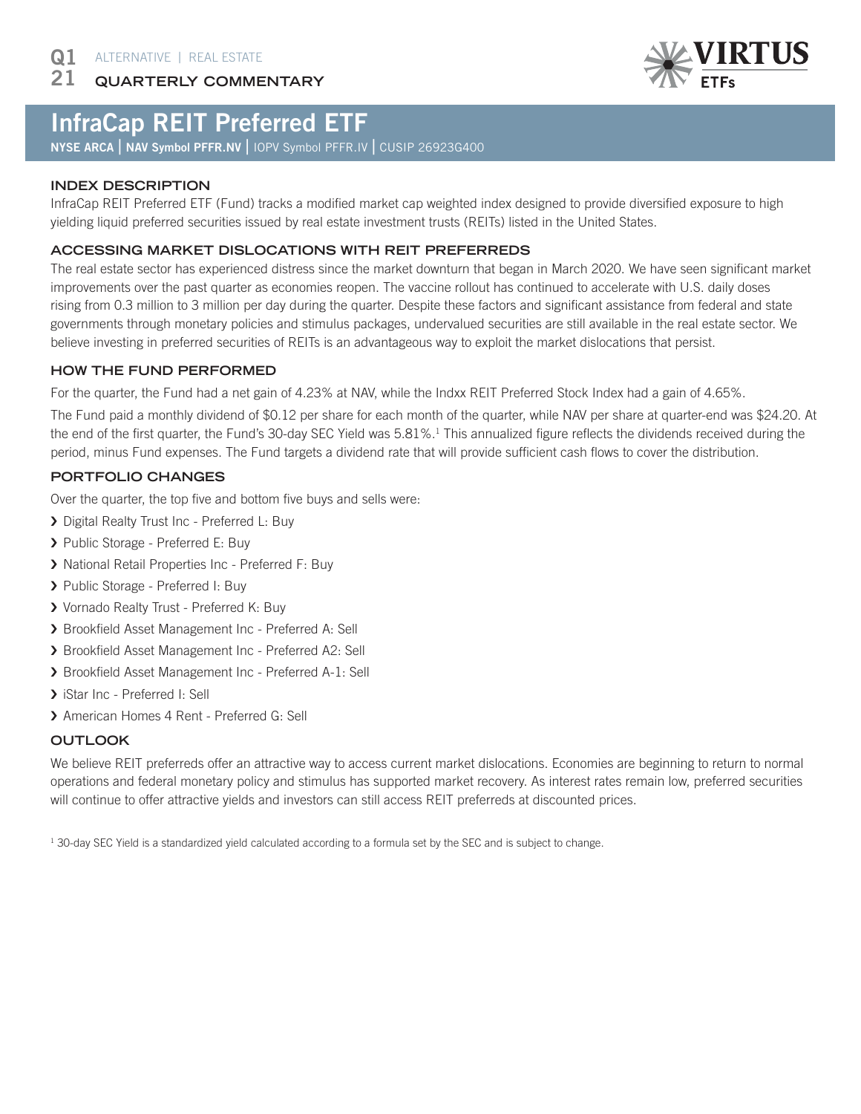**QUARTERLY COMMENTARY** 21



# InfraCap REIT Preferred ETF

NYSE ARCA | NAV Symbol PFFR.NV | IOPV Symbol PFFR.IV | CUSIP 26923G400

### **INDEX DESCRIPTION**

InfraCap REIT Preferred ETF (Fund) tracks a modified market cap weighted index designed to provide diversified exposure to high yielding liquid preferred securities issued by real estate investment trusts (REITs) listed in the United States.

#### **ACCESSING MARKET DISLOCATIONS WITH REIT PREFERREDS**

The real estate sector has experienced distress since the market downturn that began in March 2020. We have seen significant market improvements over the past quarter as economies reopen. The vaccine rollout has continued to accelerate with U.S. daily doses rising from 0.3 million to 3 million per day during the quarter. Despite these factors and significant assistance from federal and state governments through monetary policies and stimulus packages, undervalued securities are still available in the real estate sector. We believe investing in preferred securities of REITs is an advantageous way to exploit the market dislocations that persist.

#### **HOW THE FUND PERFORMED**

For the quarter, the Fund had a net gain of 4.23% at NAV, while the Indxx REIT Preferred Stock Index had a gain of 4.65%.

The Fund paid a monthly dividend of \$0.12 per share for each month of the quarter, while NAV per share at quarter-end was \$24.20. At the end of the first quarter, the Fund's 30-day SEC Yield was 5.81%.<sup>1</sup> This annualized figure reflects the dividends received during the period, minus Fund expenses. The Fund targets a dividend rate that will provide sufficient cash flows to cover the distribution.

#### **PORTFOLIO CHANGES**

Over the quarter, the top five and bottom five buys and sells were:

- › Digital Realty Trust Inc Preferred L: Buy
- › Public Storage Preferred E: Buy
- › National Retail Properties Inc Preferred F: Buy
- › Public Storage Preferred I: Buy
- › Vornado Realty Trust Preferred K: Buy
- › Brookfield Asset Management Inc Preferred A: Sell
- › Brookfield Asset Management Inc Preferred A2: Sell
- › Brookfield Asset Management Inc Preferred A-1: Sell
- > iStar Inc Preferred I: Sell
- › American Homes 4 Rent Preferred G: Sell

#### **OUTLOOK**

We believe REIT preferreds offer an attractive way to access current market dislocations. Economies are beginning to return to normal operations and federal monetary policy and stimulus has supported market recovery. As interest rates remain low, preferred securities will continue to offer attractive yields and investors can still access REIT preferreds at discounted prices.

<sup>1</sup> 30-day SEC Yield is a standardized yield calculated according to a formula set by the SEC and is subject to change.